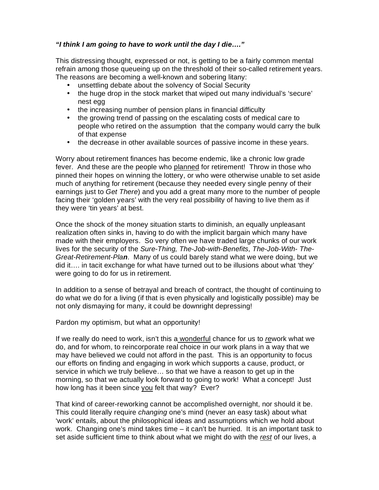## *"I think I am going to have to work until the day I die…."*

This distressing thought, expressed or not, is getting to be a fairly common mental refrain among those queueing up on the threshold of their so-called retirement years. The reasons are becoming a well-known and sobering litany:

- unsettling debate about the solvency of Social Security
- the huge drop in the stock market that wiped out many individual's 'secure' nest egg
- the increasing number of pension plans in financial difficulty
- the growing trend of passing on the escalating costs of medical care to people who retired on the assumption that the company would carry the bulk of that expense
- the decrease in other available sources of passive income in these years.

Worry about retirement finances has become endemic, like a chronic low grade fever. And these are the people who planned for retirement! Throw in those who pinned their hopes on winning the lottery, or who were otherwise unable to set aside much of anything for retirement (because they needed every single penny of their earnings just to *Get There*) and you add a great many more to the number of people facing their 'golden years' with the very real possibility of having to live them as if they were 'tin years' at best.

Once the shock of the money situation starts to diminish, an equally unpleasant realization often sinks in, having to do with the implicit bargain which many have made with their employers. So very often we have traded large chunks of our work lives for the security of the *Sure-Thing, The-Job-with-Benefits, The-Job-With- The-Great-Retirement-Plan*. Many of us could barely stand what we were doing, but we did it…. in tacit exchange for what have turned out to be illusions about what 'they' were going to do for us in retirement.

In addition to a sense of betrayal and breach of contract, the thought of continuing to do what we do for a living (if that is even physically and logistically possible) may be not only dismaying for many, it could be downright depressing!

Pardon my optimism, but what an opportunity!

If we really do need to work, isn't this a wonderful chance for us to *re*work what we do, and for whom, to reincorporate real choice in our work plans in a way that we may have believed we could not afford in the past. This is an opportunity to focus our efforts on finding and engaging in work which supports a cause, product, or service in which we truly believe… so that we have a reason to get up in the morning, so that we actually look forward to going to work! What a concept! Just how long has it been since you felt that way? Ever?

That kind of career-reworking cannot be accomplished overnight, nor should it be. This could literally require *changing* one's mind (never an easy task) about what 'work' entails, about the philosophical ideas and assumptions which we hold about work. Changing one's mind takes time – it can't be hurried. It is an important task to set aside sufficient time to think about what we might do with the *rest* of our lives, a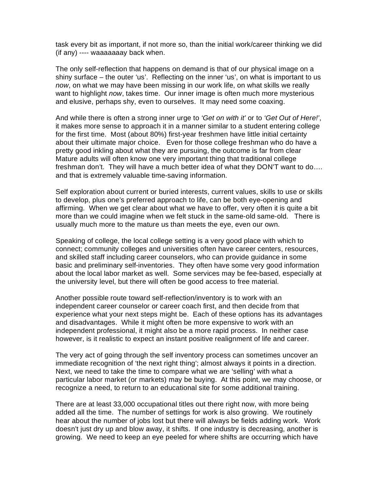task every bit as important, if not more so, than the initial work/career thinking we did (if any) ---- waaaaaaay back when.

The only self-reflection that happens on demand is that of our physical image on a shiny surface – the outer 'us'. Reflecting on the inner 'us', on what is important to us *now*, on what we may have been missing in our work life, on what skills we really want to highlight *now*, takes time. Our inner image is often much more mysterious and elusive, perhaps shy, even to ourselves. It may need some coaxing.

And while there is often a strong inner urge to *'Get on with it'* or to *'Get Out of Here!'*, it makes more sense to approach it in a manner similar to a student entering college for the first time. Most (about 80%) first-year freshmen have little initial certainty about their ultimate major choice. Even for those college freshman who do have a pretty good inkling about what they are pursuing, the outcome is far from clear Mature adults will often know one very important thing that traditional college freshman don't. They will have a much better idea of what they DON'T want to do…. and that is extremely valuable time-saving information.

Self exploration about current or buried interests, current values, skills to use or skills to develop, plus one's preferred approach to life, can be both eye-opening and affirming. When we get clear about what we have to offer, very often it is quite a bit more than we could imagine when we felt stuck in the same-old same-old. There is usually much more to the mature us than meets the eye, even our own.

Speaking of college, the local college setting is a very good place with which to connect; community colleges and universities often have career centers, resources, and skilled staff including career counselors, who can provide guidance in some basic and preliminary self-inventories. They often have some very good information about the local labor market as well. Some services may be fee-based, especially at the university level, but there will often be good access to free material.

Another possible route toward self-reflection/inventory is to work with an independent career counselor or career coach first, and then decide from that experience what your next steps might be. Each of these options has its advantages and disadvantages. While it might often be more expensive to work with an independent professional, it might also be a more rapid process. In neither case however, is it realistic to expect an instant positive realignment of life and career.

The very act of going through the self inventory process can sometimes uncover an immediate recognition of 'the next right thing'; almost always it points in a direction. Next, we need to take the time to compare what we are 'selling' with what a particular labor market (or markets) may be buying. At this point, we may choose, or recognize a need, to return to an educational site for some additional training.

There are at least 33,000 occupational titles out there right now, with more being added all the time. The number of settings for work is also growing. We routinely hear about the number of jobs lost but there will always be fields adding work. Work doesn't just dry up and blow away, it shifts. If one industry is decreasing, another is growing. We need to keep an eye peeled for where shifts are occurring which have